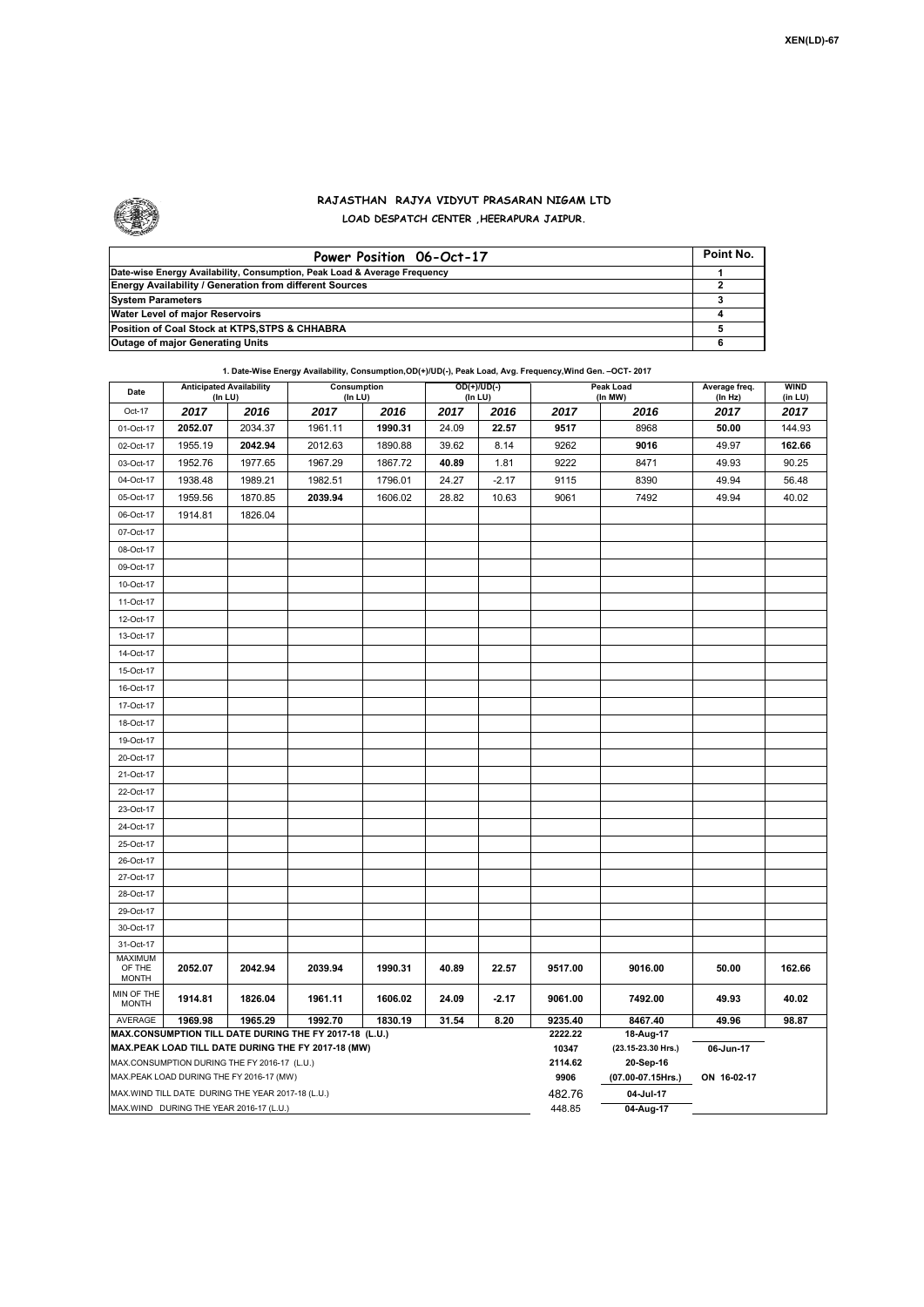

Г

## **RAJASTHAN RAJYA VIDYUT PRASARAN NIGAM LTD LOAD DESPATCH CENTER ,HEERAPURA JAIPUR.**

| Power Position 06-Oct-17                                                  | Point No. |
|---------------------------------------------------------------------------|-----------|
| Date-wise Energy Availability, Consumption, Peak Load & Average Frequency |           |
| <b>Energy Availability / Generation from different Sources</b>            |           |
| <b>System Parameters</b>                                                  |           |
| Water Level of major Reservoirs                                           |           |
| Position of Coal Stock at KTPS, STPS & CHHABRA                            |           |
| <b>Outage of major Generating Units</b>                                   |           |

**1. Date-Wise Energy Availability, Consumption,OD(+)/UD(-), Peak Load, Avg. Frequency,Wind Gen. –OCT- 2017**

| Date                                                                                                         | <b>Anticipated Availability</b><br>(In LU) |         | Consumption<br>(In LU) |         | $OD(+)/UD(-)$<br>(In LU) |         |                    | Peak Load<br>(In MW)            | Average freq.   | <b>WIND</b>     |  |  |
|--------------------------------------------------------------------------------------------------------------|--------------------------------------------|---------|------------------------|---------|--------------------------|---------|--------------------|---------------------------------|-----------------|-----------------|--|--|
| Oct-17                                                                                                       | 2017                                       | 2016    | 2017                   | 2016    | 2017                     | 2016    | 2017               | 2016                            | (In Hz)<br>2017 | (in LU)<br>2017 |  |  |
| 01-Oct-17                                                                                                    | 2052.07                                    | 2034.37 | 1961.11                | 1990.31 | 24.09                    | 22.57   | 9517               | 8968                            | 50.00           | 144.93          |  |  |
| 02-Oct-17                                                                                                    | 1955.19                                    | 2042.94 | 2012.63                | 1890.88 | 39.62                    | 8.14    | 9262               | 9016                            | 49.97           | 162.66          |  |  |
| 03-Oct-17                                                                                                    | 1952.76                                    | 1977.65 | 1967.29                | 1867.72 | 40.89                    | 1.81    | 9222               | 8471                            | 49.93           | 90.25           |  |  |
| 04-Oct-17                                                                                                    | 1938.48                                    | 1989.21 | 1982.51                | 1796.01 | 24.27                    | $-2.17$ | 9115               | 8390                            | 49.94           | 56.48           |  |  |
| 05-Oct-17                                                                                                    | 1959.56                                    | 1870.85 | 2039.94                | 1606.02 | 28.82                    | 10.63   | 9061               | 7492                            | 49.94           | 40.02           |  |  |
| 06-Oct-17                                                                                                    | 1914.81                                    | 1826.04 |                        |         |                          |         |                    |                                 |                 |                 |  |  |
| 07-Oct-17                                                                                                    |                                            |         |                        |         |                          |         |                    |                                 |                 |                 |  |  |
| 08-Oct-17                                                                                                    |                                            |         |                        |         |                          |         |                    |                                 |                 |                 |  |  |
| 09-Oct-17                                                                                                    |                                            |         |                        |         |                          |         |                    |                                 |                 |                 |  |  |
| 10-Oct-17                                                                                                    |                                            |         |                        |         |                          |         |                    |                                 |                 |                 |  |  |
| 11-Oct-17                                                                                                    |                                            |         |                        |         |                          |         |                    |                                 |                 |                 |  |  |
| 12-Oct-17                                                                                                    |                                            |         |                        |         |                          |         |                    |                                 |                 |                 |  |  |
| 13-Oct-17                                                                                                    |                                            |         |                        |         |                          |         |                    |                                 |                 |                 |  |  |
| 14-Oct-17                                                                                                    |                                            |         |                        |         |                          |         |                    |                                 |                 |                 |  |  |
| 15-Oct-17                                                                                                    |                                            |         |                        |         |                          |         |                    |                                 |                 |                 |  |  |
| 16-Oct-17                                                                                                    |                                            |         |                        |         |                          |         |                    |                                 |                 |                 |  |  |
| 17-Oct-17                                                                                                    |                                            |         |                        |         |                          |         |                    |                                 |                 |                 |  |  |
| 18-Oct-17                                                                                                    |                                            |         |                        |         |                          |         |                    |                                 |                 |                 |  |  |
| 19-Oct-17                                                                                                    |                                            |         |                        |         |                          |         |                    |                                 |                 |                 |  |  |
| 20-Oct-17                                                                                                    |                                            |         |                        |         |                          |         |                    |                                 |                 |                 |  |  |
| 21-Oct-17                                                                                                    |                                            |         |                        |         |                          |         |                    |                                 |                 |                 |  |  |
| 22-Oct-17                                                                                                    |                                            |         |                        |         |                          |         |                    |                                 |                 |                 |  |  |
| 23-Oct-17                                                                                                    |                                            |         |                        |         |                          |         |                    |                                 |                 |                 |  |  |
| 24-Oct-17                                                                                                    |                                            |         |                        |         |                          |         |                    |                                 |                 |                 |  |  |
| 25-Oct-17                                                                                                    |                                            |         |                        |         |                          |         |                    |                                 |                 |                 |  |  |
| 26-Oct-17                                                                                                    |                                            |         |                        |         |                          |         |                    |                                 |                 |                 |  |  |
| 27-Oct-17                                                                                                    |                                            |         |                        |         |                          |         |                    |                                 |                 |                 |  |  |
| 28-Oct-17                                                                                                    |                                            |         |                        |         |                          |         |                    |                                 |                 |                 |  |  |
| 29-Oct-17                                                                                                    |                                            |         |                        |         |                          |         |                    |                                 |                 |                 |  |  |
| 30-Oct-17                                                                                                    |                                            |         |                        |         |                          |         |                    |                                 |                 |                 |  |  |
| 31-Oct-17                                                                                                    |                                            |         |                        |         |                          |         |                    |                                 |                 |                 |  |  |
| <b>MAXIMUM</b><br>OF THE<br><b>MONTH</b>                                                                     | 2052.07                                    | 2042.94 | 2039.94                | 1990.31 | 40.89                    | 22.57   | 9517.00            | 9016.00                         | 50.00           | 162.66          |  |  |
| MIN OF THE<br><b>MONTH</b>                                                                                   | 1914.81                                    | 1826.04 | 1961.11                | 1606.02 | 24.09                    | $-2.17$ | 9061.00            | 7492.00                         | 49.93           | 40.02           |  |  |
| AVERAGE<br>1969.98<br>1965.29<br>1992.70<br>1830.19<br>31.54<br>8.20                                         |                                            |         |                        |         |                          |         | 9235.40<br>2222.22 | 8467.40<br>49.96<br>98.87       |                 |                 |  |  |
| MAX.CONSUMPTION TILL DATE DURING THE FY 2017-18 (L.U.)<br>MAX.PEAK LOAD TILL DATE DURING THE FY 2017-18 (MW) |                                            |         |                        |         |                          |         |                    | 18-Aug-17<br>(23.15-23.30 Hrs.) | 06-Jun-17       |                 |  |  |
| MAX.CONSUMPTION DURING THE FY 2016-17 (L.U.)                                                                 |                                            |         |                        |         |                          |         |                    | 20-Sep-16                       |                 |                 |  |  |
|                                                                                                              | MAX.PEAK LOAD DURING THE FY 2016-17 (MW)   |         |                        |         |                          |         | 2114.62<br>9906    | (07.00-07.15Hrs.)               | ON 16-02-17     |                 |  |  |
| MAX.WIND TILL DATE DURING THE YEAR 2017-18 (L.U.)                                                            |                                            |         |                        |         |                          |         |                    | 04-Jul-17                       |                 |                 |  |  |
| MAX.WIND DURING THE YEAR 2016-17 (L.U.)                                                                      |                                            |         |                        |         |                          |         |                    | 04-Aug-17                       |                 |                 |  |  |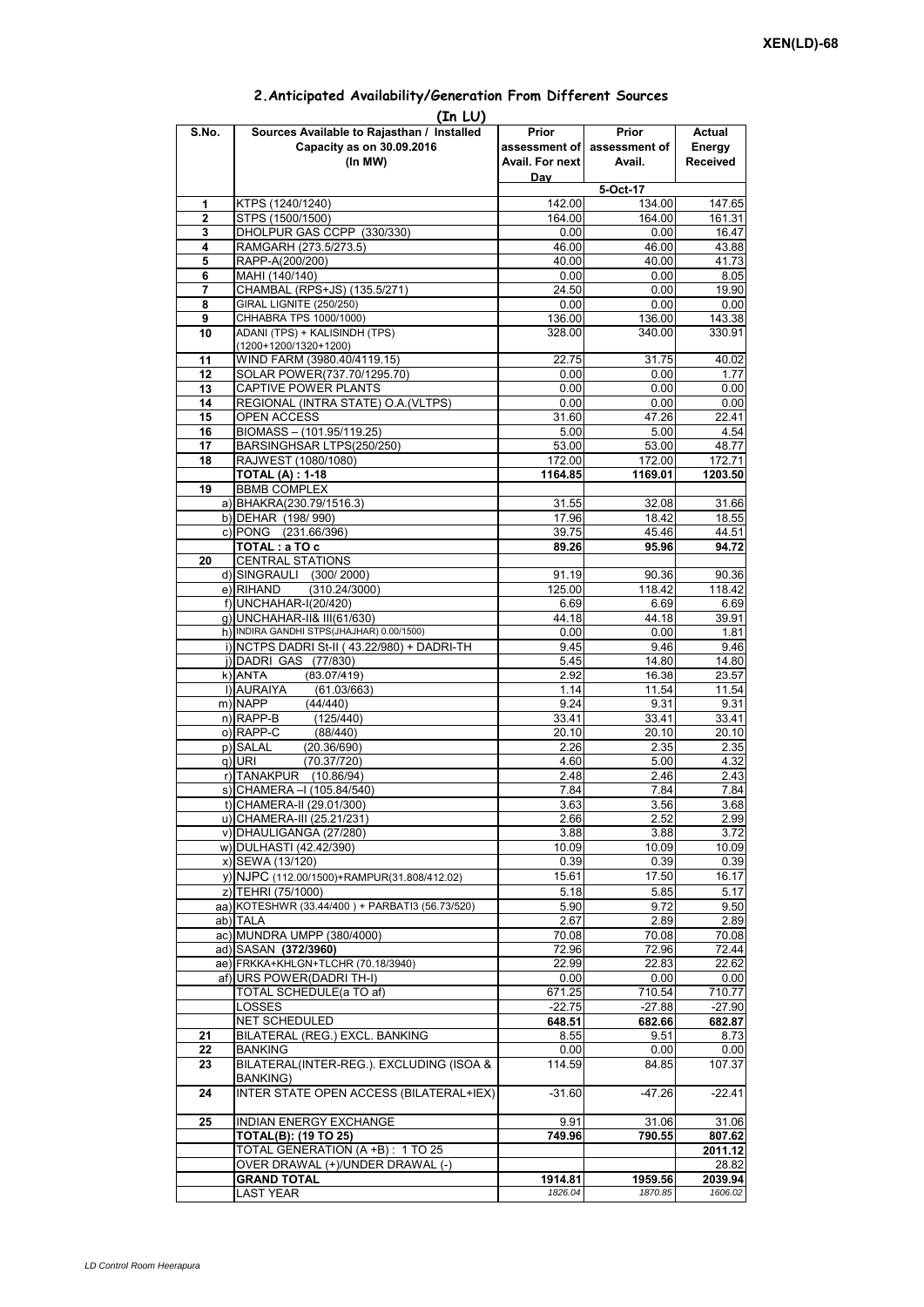## **Prior assessment of Avail. For next Day Prior assessment of Avail. Actual Energy Received 1 KTPS** (1240/1240) **12.00** 142.00 **147.65 2** STPS (1500/1500)<br> **2** STPS (1500/1500)<br> **2** DHOI PUR GAS CCPP (330/330)<br> **1647**<br>
0 00 0 00 0 1647 **3** DHOLPUR GAS CCPP (330/330) **4** RAMGARH (273.5/273.5) 46.00 46.00 43.88<br> **5** RAPP-A(200/200) 41.73 **5** RAPP-A(200/200) **40.00** 40.00 41.73<br> **6** MAHI (140/140) 0.00 0.00 8.05 **6** MAHI (140/140) 0.00 **7** CHAMBAL (RPS+JS) (135.5/271) 24.50 0.00 19.90 **8** GIRAL LIGNITE (250/250) 0.00 0.00 0.00 0.00<br> **9** CHHABRA TPS 1000/1000) 0.00 136.00 136.00 143.38 **9** CHHABRA TPS 1000/1000) **10** ADANI (TPS) + KALISINDH (TPS) (1200+1200/1320+1200) 328.00 340.00 330.91 **11** WIND FARM (3980.40/4119.15)  $\qquad$  **22.75** 31.75 40.02 **12** SOLAR POWER(737.70/1295.70) 0.00 0.00 0.00 1.77 **13** CAPTIVE POWER PLANTS 0.00 0.00 0.00 0.00 **14** REGIONAL (INTRA STATE) O.A.(VLTPS) 0.00 0.00 0.00 0.00 0.00 15 OPEN ACCESS 31.60 47.26 22.41<br>16 BIOMASS – (101.95/119.25) 5.00 5.00 4.54 **BIOMASS – (101.95/119.25)** 17 BARSINGHSAR LTPS(250/250) 53.00 53.00 53.00 48.77 **18** RAJWEST (1080/1080) 172.00 172.00 172.71 **TOTAL (A) : 1-18 1164.85 1169.01 1203.50 19** BBMB COMPLEX a) BHAKRA(230.79/1516.3) 31.55 32.08 31.66<br>b) DFHAR (198/990) 31.55 32.08 31.66 b) DEHAR (198/ 990) c) PONG (231.66/396) 39.75 45.46 44.51 **TOTAL : a TO c** 89.26 95.96 94.72 **20** CENTRAL STATIONS d) SINGRAULI (300/ 2000) 91.19 90.36 90.36  $(310.24/3000)$ f) UNCHAHAR-I(20/420) 6.69 6.69 6.69 g) UNCHAHAR-II& III(61/630) 44.18 44.18 h) INDIRA GANDHI STPS(JHAJHAR) 0.00/1500) 0.00 0.00 0.00 1.81 i) NCTPS DADRI St-II ( 43.22/980) + DADRI-TH 9.45 9.46 9.46 j) DADRI GAS (77/830) 5.45 14.80 14.80 14.80 14.80 14.80 15.45 16.38 16.35 16.381 16.38 k)|ANTA (83.07/419) 2.92 16.38 23.57<br>|1)|AURAIYA (61.03/663) 1.14 11.54 11.54 **(In LU) S.No. Sources Available to Rajasthan / Installed Capacity as on 30.09.2016 (In MW) 5-Oct-17** ANTA (83.07/419)2.9216.3823.57l) AURAIYA (61.03/663) 1.14 11.54 11.54 m) NAPP (44/440) 9.24 9.31 9.31 n) RAPP-B (125/440) 33.41 33.41 33.41 o) RAPP-C (88/440) 20.10 20.10 20.10 p) SALAL (20.36/690) 2.26 2.35 2.35<br>q) URI (70.37/720) 4.60 5.00 4.32 q) URI (70.37/720) 4.60 5.00 4.32 r) TANAKPUR (10.86/94) 2.48 2.48 2.46 2.43<br>s) CHAMERA – (105.84/540) 7.84 7.84 7.84 7.84 s) CHAMERA –I (105.84/540) t) CHAMERA-II (29.01/300) 3.63 3.56 3.68 u) CHAMERA-III (25.21/231) 2.66 2.52 2.99 v) DHAULIGANGA (27/280) 3.88 3.88 3.72 w) DULHASTI (42.42/390) 10.09 10.09 10.09 10.09 x) SEWA (13/120) 0.39 0.39 0.39 0.39 0.39 0.39 <br>v) NJPC (112.00/1500)+RAMPUR(31.808/412.02) 15.61 17.50 16.17 y) NJPC (112.00/1500)+RAMPUR(31.808/412.02) z) TEHRI (75/1000)<br>a) KOTESHWR (33.44/400 ) + PARBATI3 (56.73/520) 5.90 5.90 5.72 9.50 aa) KOTESHWR (33.44/400) + PARBATI3 (56.73/520) ab) TALA 2.67 2.89 2.89 ac) MUNDRA UMPP (380/4000)  $\qquad \qquad$  70.08 70.08 70.08 ad) SASAN **(372/3960)** 72.96 72.96 72.44 ae) FRKKA+KHLGN+TLCHR (70.18/3940) af) URS POWER(DADRI TH-I) 0.00 0.00 0.00 TOTAL SCHEDULE(a TO af) 671.25 710.54 710.77 LOSSES -22.75 -27.88 -27.90 NET SCHEDULED **648.51 682.66 682.87 21** BILATERAL (REG.) EXCL. BANKING **8.55** 8.73 **22** BANKING 0.00 0.00 0.00 **23** BILATERAL(INTER-REG.). EXCLUDING (ISOA & BANKING) 114.59 84.85 107.37 **24 INTER STATE OPEN ACCESS (BILATERAL+IEX) -31.60 -47.26 -22.41 25** INDIAN ENERGY EXCHANGE 9.91 31.06 31.06 **TOTAL(B): (19 TO 25) 749.96 790.55 807.62** TOTAL GENERATION (A +B) : 1 TO 25 **2011.12** OVER DRAWAL (+)/UNDER DRAWAL (-) **GRAND TOTAL 1914.81** 1914.81 1959.56 2039.94 LAST YEAR *1826.04 1870.85 1606.02*

## **2.Anticipated Availability/Generation From Different Sources**